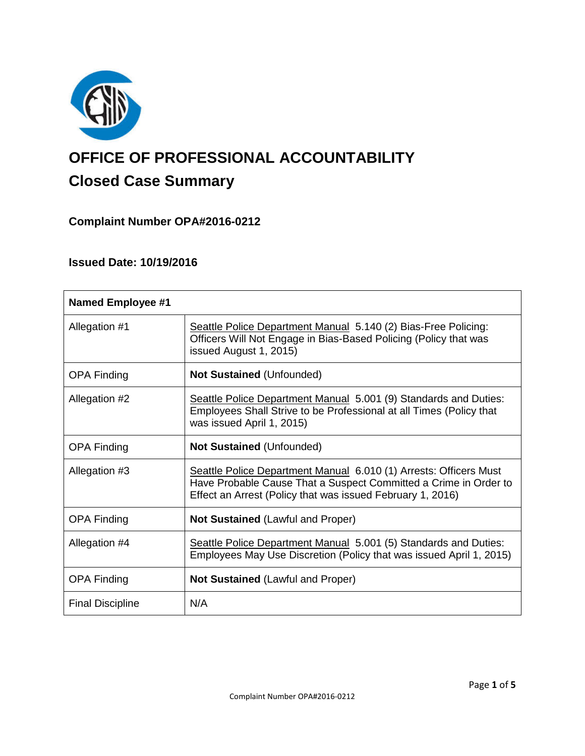

# **OFFICE OF PROFESSIONAL ACCOUNTABILITY Closed Case Summary**

## **Complaint Number OPA#2016-0212**

## **Issued Date: 10/19/2016**

| <b>Named Employee #1</b> |                                                                                                                                                                                                     |
|--------------------------|-----------------------------------------------------------------------------------------------------------------------------------------------------------------------------------------------------|
| Allegation #1            | Seattle Police Department Manual 5.140 (2) Bias-Free Policing:<br>Officers Will Not Engage in Bias-Based Policing (Policy that was<br>issued August 1, 2015)                                        |
| <b>OPA Finding</b>       | <b>Not Sustained (Unfounded)</b>                                                                                                                                                                    |
| Allegation #2            | Seattle Police Department Manual 5.001 (9) Standards and Duties:<br>Employees Shall Strive to be Professional at all Times (Policy that<br>was issued April 1, 2015)                                |
| <b>OPA Finding</b>       | <b>Not Sustained (Unfounded)</b>                                                                                                                                                                    |
| Allegation #3            | Seattle Police Department Manual 6.010 (1) Arrests: Officers Must<br>Have Probable Cause That a Suspect Committed a Crime in Order to<br>Effect an Arrest (Policy that was issued February 1, 2016) |
| <b>OPA Finding</b>       | <b>Not Sustained (Lawful and Proper)</b>                                                                                                                                                            |
| Allegation #4            | Seattle Police Department Manual 5.001 (5) Standards and Duties:<br>Employees May Use Discretion (Policy that was issued April 1, 2015)                                                             |
| <b>OPA Finding</b>       | <b>Not Sustained (Lawful and Proper)</b>                                                                                                                                                            |
| <b>Final Discipline</b>  | N/A                                                                                                                                                                                                 |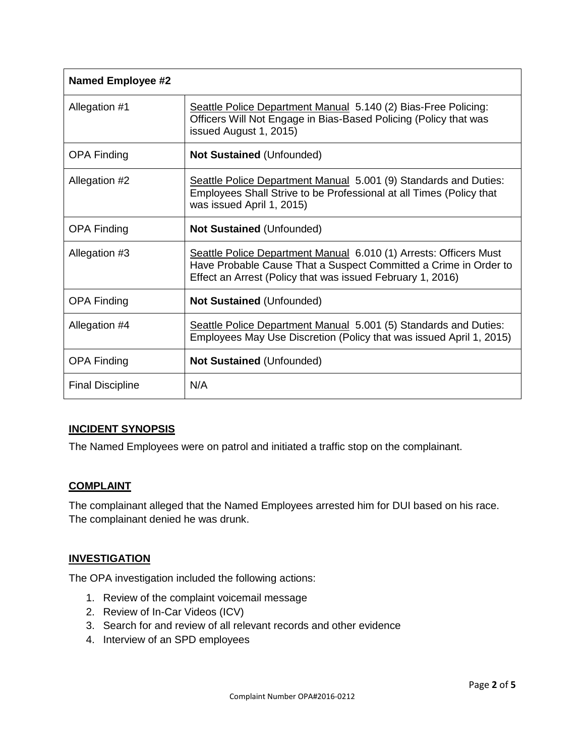| <b>Named Employee #2</b> |                                                                                                                                                                                                     |
|--------------------------|-----------------------------------------------------------------------------------------------------------------------------------------------------------------------------------------------------|
| Allegation #1            | Seattle Police Department Manual 5.140 (2) Bias-Free Policing:<br>Officers Will Not Engage in Bias-Based Policing (Policy that was<br>issued August 1, 2015)                                        |
| <b>OPA Finding</b>       | <b>Not Sustained (Unfounded)</b>                                                                                                                                                                    |
| Allegation #2            | Seattle Police Department Manual 5.001 (9) Standards and Duties:<br>Employees Shall Strive to be Professional at all Times (Policy that<br>was issued April 1, 2015)                                |
| <b>OPA Finding</b>       | <b>Not Sustained (Unfounded)</b>                                                                                                                                                                    |
| Allegation #3            | Seattle Police Department Manual 6.010 (1) Arrests: Officers Must<br>Have Probable Cause That a Suspect Committed a Crime in Order to<br>Effect an Arrest (Policy that was issued February 1, 2016) |
| <b>OPA Finding</b>       | <b>Not Sustained (Unfounded)</b>                                                                                                                                                                    |
| Allegation #4            | Seattle Police Department Manual 5.001 (5) Standards and Duties:<br>Employees May Use Discretion (Policy that was issued April 1, 2015)                                                             |
| <b>OPA Finding</b>       | <b>Not Sustained (Unfounded)</b>                                                                                                                                                                    |
| <b>Final Discipline</b>  | N/A                                                                                                                                                                                                 |

## **INCIDENT SYNOPSIS**

The Named Employees were on patrol and initiated a traffic stop on the complainant.

#### **COMPLAINT**

The complainant alleged that the Named Employees arrested him for DUI based on his race. The complainant denied he was drunk.

#### **INVESTIGATION**

The OPA investigation included the following actions:

- 1. Review of the complaint voicemail message
- 2. Review of In-Car Videos (ICV)
- 3. Search for and review of all relevant records and other evidence
- 4. Interview of an SPD employees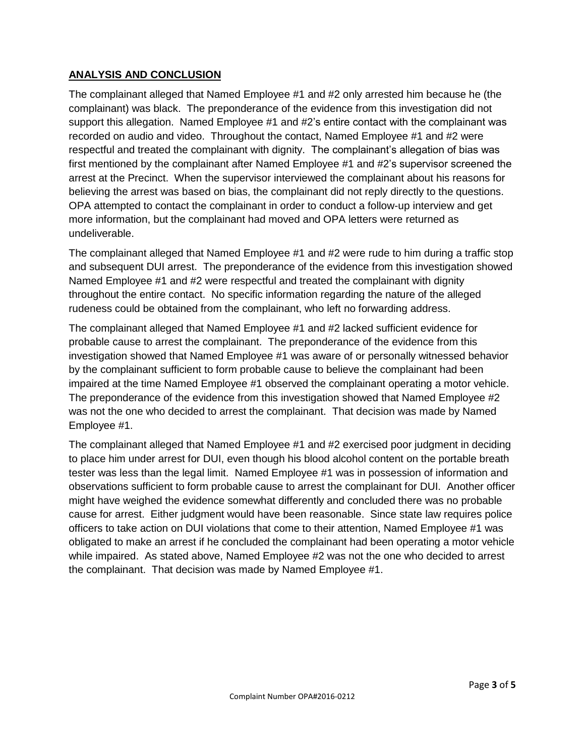## **ANALYSIS AND CONCLUSION**

The complainant alleged that Named Employee #1 and #2 only arrested him because he (the complainant) was black. The preponderance of the evidence from this investigation did not support this allegation. Named Employee #1 and #2's entire contact with the complainant was recorded on audio and video. Throughout the contact, Named Employee #1 and #2 were respectful and treated the complainant with dignity. The complainant's allegation of bias was first mentioned by the complainant after Named Employee #1 and #2's supervisor screened the arrest at the Precinct. When the supervisor interviewed the complainant about his reasons for believing the arrest was based on bias, the complainant did not reply directly to the questions. OPA attempted to contact the complainant in order to conduct a follow-up interview and get more information, but the complainant had moved and OPA letters were returned as undeliverable.

The complainant alleged that Named Employee #1 and #2 were rude to him during a traffic stop and subsequent DUI arrest. The preponderance of the evidence from this investigation showed Named Employee #1 and #2 were respectful and treated the complainant with dignity throughout the entire contact. No specific information regarding the nature of the alleged rudeness could be obtained from the complainant, who left no forwarding address.

The complainant alleged that Named Employee #1 and #2 lacked sufficient evidence for probable cause to arrest the complainant. The preponderance of the evidence from this investigation showed that Named Employee #1 was aware of or personally witnessed behavior by the complainant sufficient to form probable cause to believe the complainant had been impaired at the time Named Employee #1 observed the complainant operating a motor vehicle. The preponderance of the evidence from this investigation showed that Named Employee #2 was not the one who decided to arrest the complainant. That decision was made by Named Employee #1.

The complainant alleged that Named Employee #1 and #2 exercised poor judgment in deciding to place him under arrest for DUI, even though his blood alcohol content on the portable breath tester was less than the legal limit. Named Employee #1 was in possession of information and observations sufficient to form probable cause to arrest the complainant for DUI. Another officer might have weighed the evidence somewhat differently and concluded there was no probable cause for arrest. Either judgment would have been reasonable. Since state law requires police officers to take action on DUI violations that come to their attention, Named Employee #1 was obligated to make an arrest if he concluded the complainant had been operating a motor vehicle while impaired. As stated above, Named Employee #2 was not the one who decided to arrest the complainant. That decision was made by Named Employee #1.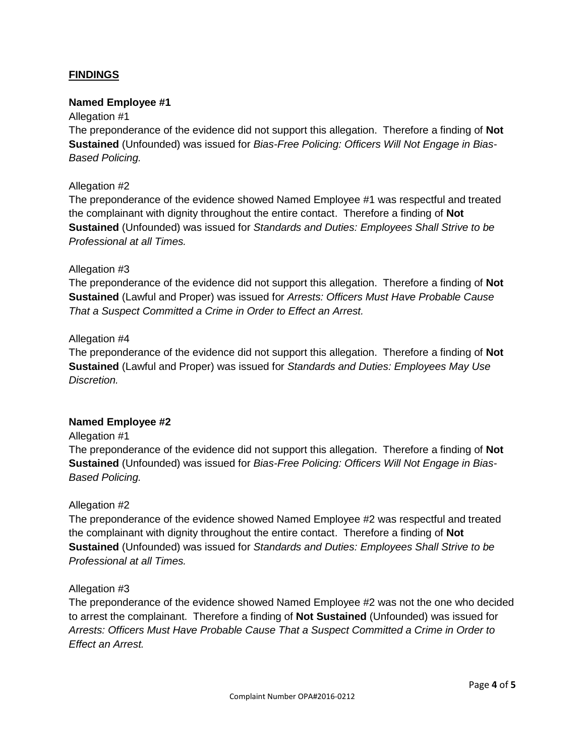## **FINDINGS**

#### **Named Employee #1**

#### Allegation #1

The preponderance of the evidence did not support this allegation. Therefore a finding of **Not Sustained** (Unfounded) was issued for *Bias-Free Policing: Officers Will Not Engage in Bias-Based Policing.*

#### Allegation #2

The preponderance of the evidence showed Named Employee #1 was respectful and treated the complainant with dignity throughout the entire contact. Therefore a finding of **Not Sustained** (Unfounded) was issued for *Standards and Duties: Employees Shall Strive to be Professional at all Times.*

#### Allegation #3

The preponderance of the evidence did not support this allegation. Therefore a finding of **Not Sustained** (Lawful and Proper) was issued for *Arrests: Officers Must Have Probable Cause That a Suspect Committed a Crime in Order to Effect an Arrest.*

#### Allegation #4

The preponderance of the evidence did not support this allegation. Therefore a finding of **Not Sustained** (Lawful and Proper) was issued for *Standards and Duties: Employees May Use Discretion.*

#### **Named Employee #2**

#### Allegation #1

The preponderance of the evidence did not support this allegation. Therefore a finding of **Not Sustained** (Unfounded) was issued for *Bias-Free Policing: Officers Will Not Engage in Bias-Based Policing.*

#### Allegation #2

The preponderance of the evidence showed Named Employee #2 was respectful and treated the complainant with dignity throughout the entire contact. Therefore a finding of **Not Sustained** (Unfounded) was issued for *Standards and Duties: Employees Shall Strive to be Professional at all Times.*

#### Allegation #3

The preponderance of the evidence showed Named Employee #2 was not the one who decided to arrest the complainant. Therefore a finding of **Not Sustained** (Unfounded) was issued for *Arrests: Officers Must Have Probable Cause That a Suspect Committed a Crime in Order to Effect an Arrest.*